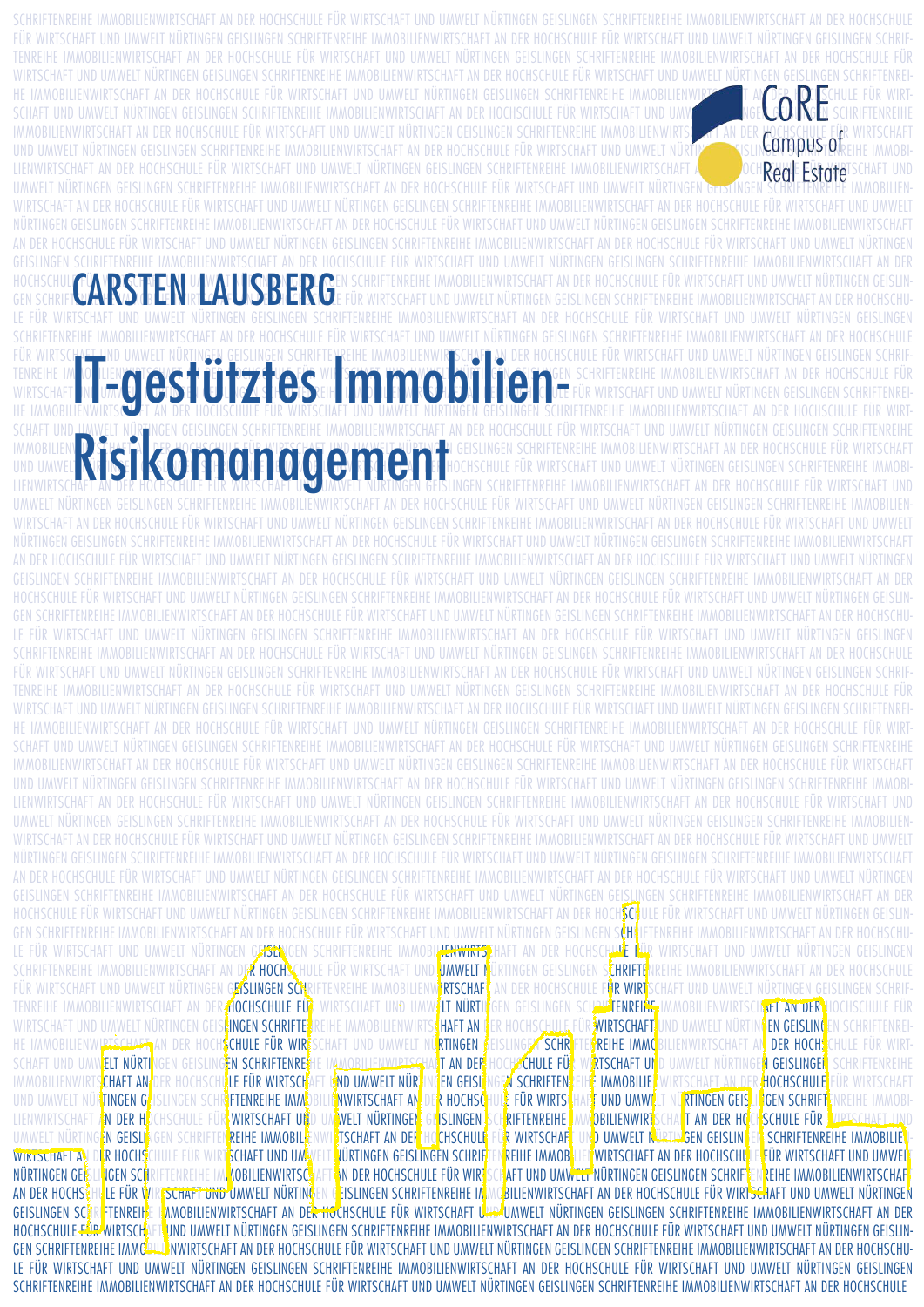| Campus of<br>Real Estate<br><b>EXAMPLE AND UAWELT NÜRTINGEN GEISLINGEN SCHRIFTEINE HEIMAGELIERUNGEN SCHRIFTEIN DIE LIGHT DER HOCHSCHULE EUR V<br/>ET IN UAM OLOST ÜLT ZE HOCHSCHULE EIR WRISCHAFT INN IMAWELT NIRTINGEN GEISLINGEN SCHRIFTENE</b><br>Risikomanagement<br>TENREIHE IMMOBILIENWIRTSCHAFT AN DER HOCHSCHULE EUR WIRTSCHAFT UND UMWELT NURTINGEN GEISLINGEN SCHRIFTENREIHE IMMOBILIENWIRTSCHAFT AN DER<br>WIKISCHAFI UND UMWELI NUKIINGEN GEISLINGEN SCHKIFIENKEIHE IMMUBILIENWIKISCHAFI AN DEK HUCHSCHULE FUK WIKISCHAFI UND UMWELI NUKIINGEN GEISLINGEN SCHKIFIENKEI<br>AN DER HOCHSCHILLE EIJR WIRTSCHAFT IJND IJMWELT NIJRTINGEN GEISLINGEN SCHRIFTENREIHE IMMORILIENWIRTSCHAFT<br>SCHAFT UND UMWEIT NURTINGEN GEISLINGEN SCHRIFTENREIHE IMMOBILIENWIRTSCHAFT AN DER HOCHSCHULF EUR WIRTSCHAFT UND UMWEIT NURTINGEN GEISLINGEN SCHRIFTENREIHE<br>IMMOBILIENWIRTSCHAFT AN DER HOCHSCHULE FUR WIRTSCHAFT UND UMWELT NURTINGEN GEISLINGEN SCHRIFTENREIHE IMMOBILIENWIRTSCHAFT AN DER HOCHSCHULE FUR WIRTSCHAFT<br>UND UMWELT NÜRTINGEN GEISLINGEN SCHRIFTENREIHE IMMOBILIENWIRTSCHAFT AN DER HOCHSCHULE FÜR WIRTSCHAFT UND UMWELT NÜRTINGEN GEISLINGEN SCHRIFTENREIHE IMMOBI<br>LIENWIRTSCHAFT AN DER HOCHSCHULE FUR WIRTSCHAFT UND UMWELT NURTINGEN GEISLINGEN SCHRIFTENREIHE IMMOBILIENWIRTSCHAFT AN DER HOCHSCHULE FUR WIRTSCHAFT UND<br>UMWELT NURTINGEN GEISLINGEN SCHRIFTENREIHE IMMOBILIENWIRTSCHAFT AN DER HOCHSCHULE FUR WIRTSCHAFT UND UMWELT NURTINGEN GEISLINGEN SCHRIFTENREIHE IMMOBILIEN<br>WIRTSCHAFT AN DER HOCHSCHULE FUR WIRTSCHAFT UND UMWELT NURTINGEN GEISLINGEN SCHRIFTENREIHE IMMOBILIENWIRTSCHAFT AN DER HOCHSCHULE FUR WIRTSCHAFT UND UMWELT<br>NURTINGFN GEISLINGFN SCHRIFTFNREIHF IMMOBILIFNWIRTSCHAFT AN DER HOCHSCHULF FUR WIRTSCHAFT UND UMWELT NURTINGFN GEISLINGFN SCHRIFTFNREIHF IMMOBILIFNWIRTSCHAFT<br>AN DER HOCHSCHULE FUR WIRTSCHAFT UND UMWELT NURTINGEN GEISLINGEN SCHRIFTENREIHE IMMOBILIENWIRTSCHAFT AN DER HOCHSCHULE FUR WIRTSCHAFT UND UMWELT NURTINGEN<br>GEISLINGEN SCHRIFTENREIHE IMMOBILIENWIRTSCHAFT AN DER HOCHSCHULF EUR WIRTSCHAFT UND UMWEIT NURTINGEN GEISLINGEN SCHRIFTENREIHE IMMOBILIENWIRTSCHAFT AN DER<br>HOCHSCHULE FÜR WIRTSCHAFT UND UMWELT NÜRTINGEN GEISLINGEN SCHRIFTENREIHE IMMOBILIENWIRTSCHAFT AN DER HOCH <mark>SC‡</mark> ULE FÜR WIRTSCHAFT UND UMWELT NÜRTINGEN GEISLIN<br>GEN SCHRIFTENREIHE IMMOBILIENWIRTSCHAFT AN DER HOCHSCHULE FÜR WIRTSCHAFT UND UMWELT NÜRTINGEN GEISLINGEN SCHLIFTENREIHE IMMOBILIENWIRTSCHAFT AN DER HOCHSCHU-<br>LE FÜR WIRTSCHAFT UND UMWELT NÜRTINGEN GEISCHIGEN SCHRIFTENREIHE IMMOBIL <mark>HENWIRTSP</mark> HAFT AN DER HOCHSCHILLE RÜR WIRTSCHAFT UND UMWELT NÜRTINGEN GEISLINGEN<br>SCHRIFTENREIHE IMMOBILIENWIRTSCHAFT AN D <b>ER HOCH'S</b> CHULE FÜR WIRTSCHAFT UND <mark>JIMWELT N</mark><br>JRTINGEN GEISLINGEN S <mark>CHRIFTE</mark> NREIHE IMMOBILIENWIRTSCHAFT AN DER HOCHSCHULE<br>FÜR WIRTSCHAFT UND UMWELT NÜRTINGEN G <mark>EISLINGEN SCH</mark> RIFTENREIHE IMMOBILIENW <mark>IRTSCHAFI</mark><br>AN DER HOCHSCHULE F <b>ÜR WIRT</b> SCHAFT UND UMWELT NÜRTINGEN GEISLINGEN SCHRIF<br>TENREIHE IMMOBILIENWIRTSCHAFT AN DER HOCHSCHULE FÜR<br>WIRTSCHAFT UND UMWELT NÜRTI<br>GEN GEISLINGEN SCH <del>AM <mark>TENREINE,</mark> IMMOBILIENWIRTSCH<mark>AFT AN DER </mark>HOCHSCHULE FÜR</del><br>WIRTSCHAFT UND UMWELT NÜRTINGEN GEIS <mark>k</mark> I <b>NGEN SCHRIFTE</b><br>EIHE IMMOBILIENWIRTS HAFT AN<br>ER HOCHSC <u>HULE</u> FÜR $\frac{2}{3}$ WIRTSCHAFT <mark>:</mark> UND UMWELT NÜRTIN $\frac{6}{3}$ EN GEISLINGEN SCHRIFTENREI-<br>EISLINGEN SCHR<br>HE IMMOBILIENWIRTSCHAFT AN DER HOCH <mark>SCHULE FÜR WIR</mark><br>CHAFT UND UMWELT NÜ <mark>rtINGEN</mark><br><mark>\$REIHE IMMC</mark> BILIENWIRTSCHAFT AN <mark> DER HOCH\$</mark> CHULE FÜR WIRT<br>SCHAFT UND UMWELT NÜRTI<br>IGEN GEISLING <mark>EN SCHRIFTENRE</mark><br>HOCHSCHULE FÜ<br>D UMWELT NÜRTINGE <mark>N GEISLINGEN</mark><br>E IAMOBILIENWIRTSGHAIT AN DER<br><b>RTSCHAFT UN</b><br><b>SCHRIFTENREIHE</b><br>DER HOCHSCHR <mark>LE FÜR WIRTSCH</mark><br><b>END UMWELT NÜR</b><br>IGEN SCHRIFTEN<br>H <mark>e IMMOBILIE.</mark><br>WIRTSCHA <u>FT AN DER <mark>HOCHSCHULE</mark> FÜR WIRTSCHAF</u> T<br><b>CHAFT AN</b><br><b>EN GEISL</b><br>IMMOB LIENW RT<br><b>NWIRTSCHAFT AN</b><br>R HOCHSCHULE FÜR WIRTS<br>F UND UMW<br>LT NÜ <mark>rtingen geis</mark> l<br>ILIGEN SCHRIFT, NREIHE IMMOBI<br><b>NTINGEN G</b><br><b>R</b> FTENREIHE IMM<br>UND UMWELT NU<br>UA WELT NÜRTINGEN<br>SCHULE FÜR <b>KURTSCHAFT UND</b><br>ISLINGEN<br>RIFTENREIHE<br>IN DER HI<br>ICHSCHULE FÜR WIRTSCHAFT UN<br><b>COBILIENWIRT</b> SCHAT AN DER HO<br>LIENW RTSCHAFT<br><b>R WIRTSCHAF</b><br>ND UMWELT N <del>ürtin G</del> EN GEISLIN<br><b>SCHRIFTENREIHE IMMOBILIE</b><br>UMWELT NÜRTINGEN GEISLI<br><b>REIHE IMMOBILE</b><br><b>FISCHAFT AN DER HOCHSCHULE</b><br><b>NÜRTINGEN GEISLINGEN SCHRIF</b><br><b>WIRTSCHAFT AN DER HOCHSCHU</b><br><b>FÜR WIRTSCHAFT UND UMWEL</b><br><b>ER HOCHS</b><br>HULE FÜR WIRT <mark>SCHAFT UND UM</mark><br><b>REIHE IMMOB</b><br><b>WIRTSCHAFT A</b><br><b>AN DER HOCHSCHULE FÜR WIR</b><br>AFT UND UMWELT NÜRTINGEN GEISLINGEN SCHRIF<br><b>REIHE IMMOBILIENWIRTSCHAF</b><br>NÜRTINGEN GEL<br><b>NGEN SCH</b><br>RIFTENREIHE IM <mark>, AOBILIENWIRTSC</mark> :<br><b>LE FÜR V</b><br>SCHAFT UND UMWELT NÜRTING<br>BILIENWIRTSCHAFT AN DER HOCHSCHULE FÜR WIRTSCHAFT UND UMWELT NÜRTINGEN<br>AN DER HOCHS<br>N GEISLINGEN SCHRIFTENREIHE IN<br>MMOBILIENWIRTSCHAFT AN DER HOCHSCHULE FÜR WIRTSCHAFT U <del>WS</del> UMWELT NÜRTINGEN GEISLINGEN SCHRIFTENREIHE IMMOBILIENWIRTSCHAFT AN DER<br><b>GEISLINGEN SCHRETENREIHE</b><br>HOCHSCHULE FUR WIRTSCH<br>UND UMWELT NÜRTINGEN GEISLINGEN SCHRIFTENREIHE IMMOBILIENWIRTSCHAFT AN DER HOCHSCHULE FÜR WIRTSCHAFT UND UMWELT NÜRTINGEN GEISLIN-<br>GEN SCHRIFTENREIHE IMMÖ <del>RILD</del> NWIRTSCHAFT AN DER HOCHSCHULE FÜR WIRTSCHAFT UND UMWELT NÜRTINGEN GEISLINGEN SCHRIFTENREIHE IMMOBILIENWIRTSCHAFT AN DER HOCHSCHU- |  |  |  |  |
|-------------------------------------------------------------------------------------------------------------------------------------------------------------------------------------------------------------------------------------------------------------------------------------------------------------------------------------------------------------------------------------------------------------------------------------------------------------------------------------------------------------------------------------------------------------------------------------------------------------------------------------------------------------------------------------------------------------------------------------------------------------------------------------------------------------------------------------------------------------------------------------------------------------------------------------------------------------------------------------------------------------------------------------------------------------------------------------------------------------------------------------------------------------------------------------------------------------------------------------------------------------------------------------------------------------------------------------------------------------------------------------------------------------------------------------------------------------------------------------------------------------------------------------------------------------------------------------------------------------------------------------------------------------------------------------------------------------------------------------------------------------------------------------------------------------------------------------------------------------------------------------------------------------------------------------------------------------------------------------------------------------------------------------------------------------------------------------------------------------------------------------------------------------------------------------------------------------------------------------------------------------------------------------------------------------------------------------------------------------------------------------------------------------------------------------------------------------------------------------------------------------------------------------------------------------------------------------------------------------------------------------------------------------------------------------------------------------------------------------------------------------------------------------------------------------------------------------------------------------------------------------------------------------------------------------------------------------------------------------------------------------------------------------------------------------------------------------------------------------------------------------------------------------------------------------------------------------------------------------------------------------------------------------------------------------------------------------------------------------------------------------------------------------------------------------------------------------------------------------------------------------------------------------------------------------------------------------------------------------------------------------------------------------------------------------------------------------------------------------------------------------------------------------------------------------------------------------------------------------------------------------------------------------------------------------------------------------------------------------------------------------------------------------------------------------------------------------------------------------------------------------------------------------------------------------------------------------------------------------------------------------------------------------------------------------------------------------------------------------------------------------------------------------------------------------------------------------------------------------------------------------------------------------------------------------------------------------------------------------------------------------------------------------------------------------------------------------------------------------------------------------------------------------------------------------------------------------------------------------------------------------------------------------------------------------------------------------------------------------------------------------------------------------------------------------------------------------------------------------------------------------------------------------------------------------------------------------------------------------------------------------------------------------------------------------------------------------------------------------------------------------------------------------------------------------------------------------------------------------------------------------------------------------------------------------------------------------------------------------------------------------------------------------------------------------------------------------------------------------------------------------------------------------------------------------------------------------------------------------------------------------------------------------------------------------------------------------------------------------------------------------------------------------|--|--|--|--|
|                                                                                                                                                                                                                                                                                                                                                                                                                                                                                                                                                                                                                                                                                                                                                                                                                                                                                                                                                                                                                                                                                                                                                                                                                                                                                                                                                                                                                                                                                                                                                                                                                                                                                                                                                                                                                                                                                                                                                                                                                                                                                                                                                                                                                                                                                                                                                                                                                                                                                                                                                                                                                                                                                                                                                                                                                                                                                                                                                                                                                                                                                                                                                                                                                                                                                                                                                                                                                                                                                                                                                                                                                                                                                                                                                                                                                                                                                                                                                                                                                                                                                                                                                                                                                                                                                                                                                                                                                                                                                                                                                                                                                                                                                                                                                                                                                                                                                                                                                                                                                                                                                                                                                                                                                                                                                                                                                                                                                                                                                                                                                                                                                                                                                                                                                                                                                                                                                                                                                                                                                                     |  |  |  |  |
|                                                                                                                                                                                                                                                                                                                                                                                                                                                                                                                                                                                                                                                                                                                                                                                                                                                                                                                                                                                                                                                                                                                                                                                                                                                                                                                                                                                                                                                                                                                                                                                                                                                                                                                                                                                                                                                                                                                                                                                                                                                                                                                                                                                                                                                                                                                                                                                                                                                                                                                                                                                                                                                                                                                                                                                                                                                                                                                                                                                                                                                                                                                                                                                                                                                                                                                                                                                                                                                                                                                                                                                                                                                                                                                                                                                                                                                                                                                                                                                                                                                                                                                                                                                                                                                                                                                                                                                                                                                                                                                                                                                                                                                                                                                                                                                                                                                                                                                                                                                                                                                                                                                                                                                                                                                                                                                                                                                                                                                                                                                                                                                                                                                                                                                                                                                                                                                                                                                                                                                                                                     |  |  |  |  |
|                                                                                                                                                                                                                                                                                                                                                                                                                                                                                                                                                                                                                                                                                                                                                                                                                                                                                                                                                                                                                                                                                                                                                                                                                                                                                                                                                                                                                                                                                                                                                                                                                                                                                                                                                                                                                                                                                                                                                                                                                                                                                                                                                                                                                                                                                                                                                                                                                                                                                                                                                                                                                                                                                                                                                                                                                                                                                                                                                                                                                                                                                                                                                                                                                                                                                                                                                                                                                                                                                                                                                                                                                                                                                                                                                                                                                                                                                                                                                                                                                                                                                                                                                                                                                                                                                                                                                                                                                                                                                                                                                                                                                                                                                                                                                                                                                                                                                                                                                                                                                                                                                                                                                                                                                                                                                                                                                                                                                                                                                                                                                                                                                                                                                                                                                                                                                                                                                                                                                                                                                                     |  |  |  |  |
|                                                                                                                                                                                                                                                                                                                                                                                                                                                                                                                                                                                                                                                                                                                                                                                                                                                                                                                                                                                                                                                                                                                                                                                                                                                                                                                                                                                                                                                                                                                                                                                                                                                                                                                                                                                                                                                                                                                                                                                                                                                                                                                                                                                                                                                                                                                                                                                                                                                                                                                                                                                                                                                                                                                                                                                                                                                                                                                                                                                                                                                                                                                                                                                                                                                                                                                                                                                                                                                                                                                                                                                                                                                                                                                                                                                                                                                                                                                                                                                                                                                                                                                                                                                                                                                                                                                                                                                                                                                                                                                                                                                                                                                                                                                                                                                                                                                                                                                                                                                                                                                                                                                                                                                                                                                                                                                                                                                                                                                                                                                                                                                                                                                                                                                                                                                                                                                                                                                                                                                                                                     |  |  |  |  |
|                                                                                                                                                                                                                                                                                                                                                                                                                                                                                                                                                                                                                                                                                                                                                                                                                                                                                                                                                                                                                                                                                                                                                                                                                                                                                                                                                                                                                                                                                                                                                                                                                                                                                                                                                                                                                                                                                                                                                                                                                                                                                                                                                                                                                                                                                                                                                                                                                                                                                                                                                                                                                                                                                                                                                                                                                                                                                                                                                                                                                                                                                                                                                                                                                                                                                                                                                                                                                                                                                                                                                                                                                                                                                                                                                                                                                                                                                                                                                                                                                                                                                                                                                                                                                                                                                                                                                                                                                                                                                                                                                                                                                                                                                                                                                                                                                                                                                                                                                                                                                                                                                                                                                                                                                                                                                                                                                                                                                                                                                                                                                                                                                                                                                                                                                                                                                                                                                                                                                                                                                                     |  |  |  |  |
|                                                                                                                                                                                                                                                                                                                                                                                                                                                                                                                                                                                                                                                                                                                                                                                                                                                                                                                                                                                                                                                                                                                                                                                                                                                                                                                                                                                                                                                                                                                                                                                                                                                                                                                                                                                                                                                                                                                                                                                                                                                                                                                                                                                                                                                                                                                                                                                                                                                                                                                                                                                                                                                                                                                                                                                                                                                                                                                                                                                                                                                                                                                                                                                                                                                                                                                                                                                                                                                                                                                                                                                                                                                                                                                                                                                                                                                                                                                                                                                                                                                                                                                                                                                                                                                                                                                                                                                                                                                                                                                                                                                                                                                                                                                                                                                                                                                                                                                                                                                                                                                                                                                                                                                                                                                                                                                                                                                                                                                                                                                                                                                                                                                                                                                                                                                                                                                                                                                                                                                                                                     |  |  |  |  |
|                                                                                                                                                                                                                                                                                                                                                                                                                                                                                                                                                                                                                                                                                                                                                                                                                                                                                                                                                                                                                                                                                                                                                                                                                                                                                                                                                                                                                                                                                                                                                                                                                                                                                                                                                                                                                                                                                                                                                                                                                                                                                                                                                                                                                                                                                                                                                                                                                                                                                                                                                                                                                                                                                                                                                                                                                                                                                                                                                                                                                                                                                                                                                                                                                                                                                                                                                                                                                                                                                                                                                                                                                                                                                                                                                                                                                                                                                                                                                                                                                                                                                                                                                                                                                                                                                                                                                                                                                                                                                                                                                                                                                                                                                                                                                                                                                                                                                                                                                                                                                                                                                                                                                                                                                                                                                                                                                                                                                                                                                                                                                                                                                                                                                                                                                                                                                                                                                                                                                                                                                                     |  |  |  |  |
|                                                                                                                                                                                                                                                                                                                                                                                                                                                                                                                                                                                                                                                                                                                                                                                                                                                                                                                                                                                                                                                                                                                                                                                                                                                                                                                                                                                                                                                                                                                                                                                                                                                                                                                                                                                                                                                                                                                                                                                                                                                                                                                                                                                                                                                                                                                                                                                                                                                                                                                                                                                                                                                                                                                                                                                                                                                                                                                                                                                                                                                                                                                                                                                                                                                                                                                                                                                                                                                                                                                                                                                                                                                                                                                                                                                                                                                                                                                                                                                                                                                                                                                                                                                                                                                                                                                                                                                                                                                                                                                                                                                                                                                                                                                                                                                                                                                                                                                                                                                                                                                                                                                                                                                                                                                                                                                                                                                                                                                                                                                                                                                                                                                                                                                                                                                                                                                                                                                                                                                                                                     |  |  |  |  |
|                                                                                                                                                                                                                                                                                                                                                                                                                                                                                                                                                                                                                                                                                                                                                                                                                                                                                                                                                                                                                                                                                                                                                                                                                                                                                                                                                                                                                                                                                                                                                                                                                                                                                                                                                                                                                                                                                                                                                                                                                                                                                                                                                                                                                                                                                                                                                                                                                                                                                                                                                                                                                                                                                                                                                                                                                                                                                                                                                                                                                                                                                                                                                                                                                                                                                                                                                                                                                                                                                                                                                                                                                                                                                                                                                                                                                                                                                                                                                                                                                                                                                                                                                                                                                                                                                                                                                                                                                                                                                                                                                                                                                                                                                                                                                                                                                                                                                                                                                                                                                                                                                                                                                                                                                                                                                                                                                                                                                                                                                                                                                                                                                                                                                                                                                                                                                                                                                                                                                                                                                                     |  |  |  |  |
|                                                                                                                                                                                                                                                                                                                                                                                                                                                                                                                                                                                                                                                                                                                                                                                                                                                                                                                                                                                                                                                                                                                                                                                                                                                                                                                                                                                                                                                                                                                                                                                                                                                                                                                                                                                                                                                                                                                                                                                                                                                                                                                                                                                                                                                                                                                                                                                                                                                                                                                                                                                                                                                                                                                                                                                                                                                                                                                                                                                                                                                                                                                                                                                                                                                                                                                                                                                                                                                                                                                                                                                                                                                                                                                                                                                                                                                                                                                                                                                                                                                                                                                                                                                                                                                                                                                                                                                                                                                                                                                                                                                                                                                                                                                                                                                                                                                                                                                                                                                                                                                                                                                                                                                                                                                                                                                                                                                                                                                                                                                                                                                                                                                                                                                                                                                                                                                                                                                                                                                                                                     |  |  |  |  |
|                                                                                                                                                                                                                                                                                                                                                                                                                                                                                                                                                                                                                                                                                                                                                                                                                                                                                                                                                                                                                                                                                                                                                                                                                                                                                                                                                                                                                                                                                                                                                                                                                                                                                                                                                                                                                                                                                                                                                                                                                                                                                                                                                                                                                                                                                                                                                                                                                                                                                                                                                                                                                                                                                                                                                                                                                                                                                                                                                                                                                                                                                                                                                                                                                                                                                                                                                                                                                                                                                                                                                                                                                                                                                                                                                                                                                                                                                                                                                                                                                                                                                                                                                                                                                                                                                                                                                                                                                                                                                                                                                                                                                                                                                                                                                                                                                                                                                                                                                                                                                                                                                                                                                                                                                                                                                                                                                                                                                                                                                                                                                                                                                                                                                                                                                                                                                                                                                                                                                                                                                                     |  |  |  |  |
|                                                                                                                                                                                                                                                                                                                                                                                                                                                                                                                                                                                                                                                                                                                                                                                                                                                                                                                                                                                                                                                                                                                                                                                                                                                                                                                                                                                                                                                                                                                                                                                                                                                                                                                                                                                                                                                                                                                                                                                                                                                                                                                                                                                                                                                                                                                                                                                                                                                                                                                                                                                                                                                                                                                                                                                                                                                                                                                                                                                                                                                                                                                                                                                                                                                                                                                                                                                                                                                                                                                                                                                                                                                                                                                                                                                                                                                                                                                                                                                                                                                                                                                                                                                                                                                                                                                                                                                                                                                                                                                                                                                                                                                                                                                                                                                                                                                                                                                                                                                                                                                                                                                                                                                                                                                                                                                                                                                                                                                                                                                                                                                                                                                                                                                                                                                                                                                                                                                                                                                                                                     |  |  |  |  |
|                                                                                                                                                                                                                                                                                                                                                                                                                                                                                                                                                                                                                                                                                                                                                                                                                                                                                                                                                                                                                                                                                                                                                                                                                                                                                                                                                                                                                                                                                                                                                                                                                                                                                                                                                                                                                                                                                                                                                                                                                                                                                                                                                                                                                                                                                                                                                                                                                                                                                                                                                                                                                                                                                                                                                                                                                                                                                                                                                                                                                                                                                                                                                                                                                                                                                                                                                                                                                                                                                                                                                                                                                                                                                                                                                                                                                                                                                                                                                                                                                                                                                                                                                                                                                                                                                                                                                                                                                                                                                                                                                                                                                                                                                                                                                                                                                                                                                                                                                                                                                                                                                                                                                                                                                                                                                                                                                                                                                                                                                                                                                                                                                                                                                                                                                                                                                                                                                                                                                                                                                                     |  |  |  |  |
|                                                                                                                                                                                                                                                                                                                                                                                                                                                                                                                                                                                                                                                                                                                                                                                                                                                                                                                                                                                                                                                                                                                                                                                                                                                                                                                                                                                                                                                                                                                                                                                                                                                                                                                                                                                                                                                                                                                                                                                                                                                                                                                                                                                                                                                                                                                                                                                                                                                                                                                                                                                                                                                                                                                                                                                                                                                                                                                                                                                                                                                                                                                                                                                                                                                                                                                                                                                                                                                                                                                                                                                                                                                                                                                                                                                                                                                                                                                                                                                                                                                                                                                                                                                                                                                                                                                                                                                                                                                                                                                                                                                                                                                                                                                                                                                                                                                                                                                                                                                                                                                                                                                                                                                                                                                                                                                                                                                                                                                                                                                                                                                                                                                                                                                                                                                                                                                                                                                                                                                                                                     |  |  |  |  |
|                                                                                                                                                                                                                                                                                                                                                                                                                                                                                                                                                                                                                                                                                                                                                                                                                                                                                                                                                                                                                                                                                                                                                                                                                                                                                                                                                                                                                                                                                                                                                                                                                                                                                                                                                                                                                                                                                                                                                                                                                                                                                                                                                                                                                                                                                                                                                                                                                                                                                                                                                                                                                                                                                                                                                                                                                                                                                                                                                                                                                                                                                                                                                                                                                                                                                                                                                                                                                                                                                                                                                                                                                                                                                                                                                                                                                                                                                                                                                                                                                                                                                                                                                                                                                                                                                                                                                                                                                                                                                                                                                                                                                                                                                                                                                                                                                                                                                                                                                                                                                                                                                                                                                                                                                                                                                                                                                                                                                                                                                                                                                                                                                                                                                                                                                                                                                                                                                                                                                                                                                                     |  |  |  |  |
|                                                                                                                                                                                                                                                                                                                                                                                                                                                                                                                                                                                                                                                                                                                                                                                                                                                                                                                                                                                                                                                                                                                                                                                                                                                                                                                                                                                                                                                                                                                                                                                                                                                                                                                                                                                                                                                                                                                                                                                                                                                                                                                                                                                                                                                                                                                                                                                                                                                                                                                                                                                                                                                                                                                                                                                                                                                                                                                                                                                                                                                                                                                                                                                                                                                                                                                                                                                                                                                                                                                                                                                                                                                                                                                                                                                                                                                                                                                                                                                                                                                                                                                                                                                                                                                                                                                                                                                                                                                                                                                                                                                                                                                                                                                                                                                                                                                                                                                                                                                                                                                                                                                                                                                                                                                                                                                                                                                                                                                                                                                                                                                                                                                                                                                                                                                                                                                                                                                                                                                                                                     |  |  |  |  |
|                                                                                                                                                                                                                                                                                                                                                                                                                                                                                                                                                                                                                                                                                                                                                                                                                                                                                                                                                                                                                                                                                                                                                                                                                                                                                                                                                                                                                                                                                                                                                                                                                                                                                                                                                                                                                                                                                                                                                                                                                                                                                                                                                                                                                                                                                                                                                                                                                                                                                                                                                                                                                                                                                                                                                                                                                                                                                                                                                                                                                                                                                                                                                                                                                                                                                                                                                                                                                                                                                                                                                                                                                                                                                                                                                                                                                                                                                                                                                                                                                                                                                                                                                                                                                                                                                                                                                                                                                                                                                                                                                                                                                                                                                                                                                                                                                                                                                                                                                                                                                                                                                                                                                                                                                                                                                                                                                                                                                                                                                                                                                                                                                                                                                                                                                                                                                                                                                                                                                                                                                                     |  |  |  |  |
|                                                                                                                                                                                                                                                                                                                                                                                                                                                                                                                                                                                                                                                                                                                                                                                                                                                                                                                                                                                                                                                                                                                                                                                                                                                                                                                                                                                                                                                                                                                                                                                                                                                                                                                                                                                                                                                                                                                                                                                                                                                                                                                                                                                                                                                                                                                                                                                                                                                                                                                                                                                                                                                                                                                                                                                                                                                                                                                                                                                                                                                                                                                                                                                                                                                                                                                                                                                                                                                                                                                                                                                                                                                                                                                                                                                                                                                                                                                                                                                                                                                                                                                                                                                                                                                                                                                                                                                                                                                                                                                                                                                                                                                                                                                                                                                                                                                                                                                                                                                                                                                                                                                                                                                                                                                                                                                                                                                                                                                                                                                                                                                                                                                                                                                                                                                                                                                                                                                                                                                                                                     |  |  |  |  |
|                                                                                                                                                                                                                                                                                                                                                                                                                                                                                                                                                                                                                                                                                                                                                                                                                                                                                                                                                                                                                                                                                                                                                                                                                                                                                                                                                                                                                                                                                                                                                                                                                                                                                                                                                                                                                                                                                                                                                                                                                                                                                                                                                                                                                                                                                                                                                                                                                                                                                                                                                                                                                                                                                                                                                                                                                                                                                                                                                                                                                                                                                                                                                                                                                                                                                                                                                                                                                                                                                                                                                                                                                                                                                                                                                                                                                                                                                                                                                                                                                                                                                                                                                                                                                                                                                                                                                                                                                                                                                                                                                                                                                                                                                                                                                                                                                                                                                                                                                                                                                                                                                                                                                                                                                                                                                                                                                                                                                                                                                                                                                                                                                                                                                                                                                                                                                                                                                                                                                                                                                                     |  |  |  |  |
|                                                                                                                                                                                                                                                                                                                                                                                                                                                                                                                                                                                                                                                                                                                                                                                                                                                                                                                                                                                                                                                                                                                                                                                                                                                                                                                                                                                                                                                                                                                                                                                                                                                                                                                                                                                                                                                                                                                                                                                                                                                                                                                                                                                                                                                                                                                                                                                                                                                                                                                                                                                                                                                                                                                                                                                                                                                                                                                                                                                                                                                                                                                                                                                                                                                                                                                                                                                                                                                                                                                                                                                                                                                                                                                                                                                                                                                                                                                                                                                                                                                                                                                                                                                                                                                                                                                                                                                                                                                                                                                                                                                                                                                                                                                                                                                                                                                                                                                                                                                                                                                                                                                                                                                                                                                                                                                                                                                                                                                                                                                                                                                                                                                                                                                                                                                                                                                                                                                                                                                                                                     |  |  |  |  |
|                                                                                                                                                                                                                                                                                                                                                                                                                                                                                                                                                                                                                                                                                                                                                                                                                                                                                                                                                                                                                                                                                                                                                                                                                                                                                                                                                                                                                                                                                                                                                                                                                                                                                                                                                                                                                                                                                                                                                                                                                                                                                                                                                                                                                                                                                                                                                                                                                                                                                                                                                                                                                                                                                                                                                                                                                                                                                                                                                                                                                                                                                                                                                                                                                                                                                                                                                                                                                                                                                                                                                                                                                                                                                                                                                                                                                                                                                                                                                                                                                                                                                                                                                                                                                                                                                                                                                                                                                                                                                                                                                                                                                                                                                                                                                                                                                                                                                                                                                                                                                                                                                                                                                                                                                                                                                                                                                                                                                                                                                                                                                                                                                                                                                                                                                                                                                                                                                                                                                                                                                                     |  |  |  |  |
|                                                                                                                                                                                                                                                                                                                                                                                                                                                                                                                                                                                                                                                                                                                                                                                                                                                                                                                                                                                                                                                                                                                                                                                                                                                                                                                                                                                                                                                                                                                                                                                                                                                                                                                                                                                                                                                                                                                                                                                                                                                                                                                                                                                                                                                                                                                                                                                                                                                                                                                                                                                                                                                                                                                                                                                                                                                                                                                                                                                                                                                                                                                                                                                                                                                                                                                                                                                                                                                                                                                                                                                                                                                                                                                                                                                                                                                                                                                                                                                                                                                                                                                                                                                                                                                                                                                                                                                                                                                                                                                                                                                                                                                                                                                                                                                                                                                                                                                                                                                                                                                                                                                                                                                                                                                                                                                                                                                                                                                                                                                                                                                                                                                                                                                                                                                                                                                                                                                                                                                                                                     |  |  |  |  |
|                                                                                                                                                                                                                                                                                                                                                                                                                                                                                                                                                                                                                                                                                                                                                                                                                                                                                                                                                                                                                                                                                                                                                                                                                                                                                                                                                                                                                                                                                                                                                                                                                                                                                                                                                                                                                                                                                                                                                                                                                                                                                                                                                                                                                                                                                                                                                                                                                                                                                                                                                                                                                                                                                                                                                                                                                                                                                                                                                                                                                                                                                                                                                                                                                                                                                                                                                                                                                                                                                                                                                                                                                                                                                                                                                                                                                                                                                                                                                                                                                                                                                                                                                                                                                                                                                                                                                                                                                                                                                                                                                                                                                                                                                                                                                                                                                                                                                                                                                                                                                                                                                                                                                                                                                                                                                                                                                                                                                                                                                                                                                                                                                                                                                                                                                                                                                                                                                                                                                                                                                                     |  |  |  |  |
|                                                                                                                                                                                                                                                                                                                                                                                                                                                                                                                                                                                                                                                                                                                                                                                                                                                                                                                                                                                                                                                                                                                                                                                                                                                                                                                                                                                                                                                                                                                                                                                                                                                                                                                                                                                                                                                                                                                                                                                                                                                                                                                                                                                                                                                                                                                                                                                                                                                                                                                                                                                                                                                                                                                                                                                                                                                                                                                                                                                                                                                                                                                                                                                                                                                                                                                                                                                                                                                                                                                                                                                                                                                                                                                                                                                                                                                                                                                                                                                                                                                                                                                                                                                                                                                                                                                                                                                                                                                                                                                                                                                                                                                                                                                                                                                                                                                                                                                                                                                                                                                                                                                                                                                                                                                                                                                                                                                                                                                                                                                                                                                                                                                                                                                                                                                                                                                                                                                                                                                                                                     |  |  |  |  |
|                                                                                                                                                                                                                                                                                                                                                                                                                                                                                                                                                                                                                                                                                                                                                                                                                                                                                                                                                                                                                                                                                                                                                                                                                                                                                                                                                                                                                                                                                                                                                                                                                                                                                                                                                                                                                                                                                                                                                                                                                                                                                                                                                                                                                                                                                                                                                                                                                                                                                                                                                                                                                                                                                                                                                                                                                                                                                                                                                                                                                                                                                                                                                                                                                                                                                                                                                                                                                                                                                                                                                                                                                                                                                                                                                                                                                                                                                                                                                                                                                                                                                                                                                                                                                                                                                                                                                                                                                                                                                                                                                                                                                                                                                                                                                                                                                                                                                                                                                                                                                                                                                                                                                                                                                                                                                                                                                                                                                                                                                                                                                                                                                                                                                                                                                                                                                                                                                                                                                                                                                                     |  |  |  |  |
|                                                                                                                                                                                                                                                                                                                                                                                                                                                                                                                                                                                                                                                                                                                                                                                                                                                                                                                                                                                                                                                                                                                                                                                                                                                                                                                                                                                                                                                                                                                                                                                                                                                                                                                                                                                                                                                                                                                                                                                                                                                                                                                                                                                                                                                                                                                                                                                                                                                                                                                                                                                                                                                                                                                                                                                                                                                                                                                                                                                                                                                                                                                                                                                                                                                                                                                                                                                                                                                                                                                                                                                                                                                                                                                                                                                                                                                                                                                                                                                                                                                                                                                                                                                                                                                                                                                                                                                                                                                                                                                                                                                                                                                                                                                                                                                                                                                                                                                                                                                                                                                                                                                                                                                                                                                                                                                                                                                                                                                                                                                                                                                                                                                                                                                                                                                                                                                                                                                                                                                                                                     |  |  |  |  |
|                                                                                                                                                                                                                                                                                                                                                                                                                                                                                                                                                                                                                                                                                                                                                                                                                                                                                                                                                                                                                                                                                                                                                                                                                                                                                                                                                                                                                                                                                                                                                                                                                                                                                                                                                                                                                                                                                                                                                                                                                                                                                                                                                                                                                                                                                                                                                                                                                                                                                                                                                                                                                                                                                                                                                                                                                                                                                                                                                                                                                                                                                                                                                                                                                                                                                                                                                                                                                                                                                                                                                                                                                                                                                                                                                                                                                                                                                                                                                                                                                                                                                                                                                                                                                                                                                                                                                                                                                                                                                                                                                                                                                                                                                                                                                                                                                                                                                                                                                                                                                                                                                                                                                                                                                                                                                                                                                                                                                                                                                                                                                                                                                                                                                                                                                                                                                                                                                                                                                                                                                                     |  |  |  |  |
|                                                                                                                                                                                                                                                                                                                                                                                                                                                                                                                                                                                                                                                                                                                                                                                                                                                                                                                                                                                                                                                                                                                                                                                                                                                                                                                                                                                                                                                                                                                                                                                                                                                                                                                                                                                                                                                                                                                                                                                                                                                                                                                                                                                                                                                                                                                                                                                                                                                                                                                                                                                                                                                                                                                                                                                                                                                                                                                                                                                                                                                                                                                                                                                                                                                                                                                                                                                                                                                                                                                                                                                                                                                                                                                                                                                                                                                                                                                                                                                                                                                                                                                                                                                                                                                                                                                                                                                                                                                                                                                                                                                                                                                                                                                                                                                                                                                                                                                                                                                                                                                                                                                                                                                                                                                                                                                                                                                                                                                                                                                                                                                                                                                                                                                                                                                                                                                                                                                                                                                                                                     |  |  |  |  |
|                                                                                                                                                                                                                                                                                                                                                                                                                                                                                                                                                                                                                                                                                                                                                                                                                                                                                                                                                                                                                                                                                                                                                                                                                                                                                                                                                                                                                                                                                                                                                                                                                                                                                                                                                                                                                                                                                                                                                                                                                                                                                                                                                                                                                                                                                                                                                                                                                                                                                                                                                                                                                                                                                                                                                                                                                                                                                                                                                                                                                                                                                                                                                                                                                                                                                                                                                                                                                                                                                                                                                                                                                                                                                                                                                                                                                                                                                                                                                                                                                                                                                                                                                                                                                                                                                                                                                                                                                                                                                                                                                                                                                                                                                                                                                                                                                                                                                                                                                                                                                                                                                                                                                                                                                                                                                                                                                                                                                                                                                                                                                                                                                                                                                                                                                                                                                                                                                                                                                                                                                                     |  |  |  |  |
|                                                                                                                                                                                                                                                                                                                                                                                                                                                                                                                                                                                                                                                                                                                                                                                                                                                                                                                                                                                                                                                                                                                                                                                                                                                                                                                                                                                                                                                                                                                                                                                                                                                                                                                                                                                                                                                                                                                                                                                                                                                                                                                                                                                                                                                                                                                                                                                                                                                                                                                                                                                                                                                                                                                                                                                                                                                                                                                                                                                                                                                                                                                                                                                                                                                                                                                                                                                                                                                                                                                                                                                                                                                                                                                                                                                                                                                                                                                                                                                                                                                                                                                                                                                                                                                                                                                                                                                                                                                                                                                                                                                                                                                                                                                                                                                                                                                                                                                                                                                                                                                                                                                                                                                                                                                                                                                                                                                                                                                                                                                                                                                                                                                                                                                                                                                                                                                                                                                                                                                                                                     |  |  |  |  |
|                                                                                                                                                                                                                                                                                                                                                                                                                                                                                                                                                                                                                                                                                                                                                                                                                                                                                                                                                                                                                                                                                                                                                                                                                                                                                                                                                                                                                                                                                                                                                                                                                                                                                                                                                                                                                                                                                                                                                                                                                                                                                                                                                                                                                                                                                                                                                                                                                                                                                                                                                                                                                                                                                                                                                                                                                                                                                                                                                                                                                                                                                                                                                                                                                                                                                                                                                                                                                                                                                                                                                                                                                                                                                                                                                                                                                                                                                                                                                                                                                                                                                                                                                                                                                                                                                                                                                                                                                                                                                                                                                                                                                                                                                                                                                                                                                                                                                                                                                                                                                                                                                                                                                                                                                                                                                                                                                                                                                                                                                                                                                                                                                                                                                                                                                                                                                                                                                                                                                                                                                                     |  |  |  |  |
|                                                                                                                                                                                                                                                                                                                                                                                                                                                                                                                                                                                                                                                                                                                                                                                                                                                                                                                                                                                                                                                                                                                                                                                                                                                                                                                                                                                                                                                                                                                                                                                                                                                                                                                                                                                                                                                                                                                                                                                                                                                                                                                                                                                                                                                                                                                                                                                                                                                                                                                                                                                                                                                                                                                                                                                                                                                                                                                                                                                                                                                                                                                                                                                                                                                                                                                                                                                                                                                                                                                                                                                                                                                                                                                                                                                                                                                                                                                                                                                                                                                                                                                                                                                                                                                                                                                                                                                                                                                                                                                                                                                                                                                                                                                                                                                                                                                                                                                                                                                                                                                                                                                                                                                                                                                                                                                                                                                                                                                                                                                                                                                                                                                                                                                                                                                                                                                                                                                                                                                                                                     |  |  |  |  |
|                                                                                                                                                                                                                                                                                                                                                                                                                                                                                                                                                                                                                                                                                                                                                                                                                                                                                                                                                                                                                                                                                                                                                                                                                                                                                                                                                                                                                                                                                                                                                                                                                                                                                                                                                                                                                                                                                                                                                                                                                                                                                                                                                                                                                                                                                                                                                                                                                                                                                                                                                                                                                                                                                                                                                                                                                                                                                                                                                                                                                                                                                                                                                                                                                                                                                                                                                                                                                                                                                                                                                                                                                                                                                                                                                                                                                                                                                                                                                                                                                                                                                                                                                                                                                                                                                                                                                                                                                                                                                                                                                                                                                                                                                                                                                                                                                                                                                                                                                                                                                                                                                                                                                                                                                                                                                                                                                                                                                                                                                                                                                                                                                                                                                                                                                                                                                                                                                                                                                                                                                                     |  |  |  |  |
|                                                                                                                                                                                                                                                                                                                                                                                                                                                                                                                                                                                                                                                                                                                                                                                                                                                                                                                                                                                                                                                                                                                                                                                                                                                                                                                                                                                                                                                                                                                                                                                                                                                                                                                                                                                                                                                                                                                                                                                                                                                                                                                                                                                                                                                                                                                                                                                                                                                                                                                                                                                                                                                                                                                                                                                                                                                                                                                                                                                                                                                                                                                                                                                                                                                                                                                                                                                                                                                                                                                                                                                                                                                                                                                                                                                                                                                                                                                                                                                                                                                                                                                                                                                                                                                                                                                                                                                                                                                                                                                                                                                                                                                                                                                                                                                                                                                                                                                                                                                                                                                                                                                                                                                                                                                                                                                                                                                                                                                                                                                                                                                                                                                                                                                                                                                                                                                                                                                                                                                                                                     |  |  |  |  |
|                                                                                                                                                                                                                                                                                                                                                                                                                                                                                                                                                                                                                                                                                                                                                                                                                                                                                                                                                                                                                                                                                                                                                                                                                                                                                                                                                                                                                                                                                                                                                                                                                                                                                                                                                                                                                                                                                                                                                                                                                                                                                                                                                                                                                                                                                                                                                                                                                                                                                                                                                                                                                                                                                                                                                                                                                                                                                                                                                                                                                                                                                                                                                                                                                                                                                                                                                                                                                                                                                                                                                                                                                                                                                                                                                                                                                                                                                                                                                                                                                                                                                                                                                                                                                                                                                                                                                                                                                                                                                                                                                                                                                                                                                                                                                                                                                                                                                                                                                                                                                                                                                                                                                                                                                                                                                                                                                                                                                                                                                                                                                                                                                                                                                                                                                                                                                                                                                                                                                                                                                                     |  |  |  |  |
|                                                                                                                                                                                                                                                                                                                                                                                                                                                                                                                                                                                                                                                                                                                                                                                                                                                                                                                                                                                                                                                                                                                                                                                                                                                                                                                                                                                                                                                                                                                                                                                                                                                                                                                                                                                                                                                                                                                                                                                                                                                                                                                                                                                                                                                                                                                                                                                                                                                                                                                                                                                                                                                                                                                                                                                                                                                                                                                                                                                                                                                                                                                                                                                                                                                                                                                                                                                                                                                                                                                                                                                                                                                                                                                                                                                                                                                                                                                                                                                                                                                                                                                                                                                                                                                                                                                                                                                                                                                                                                                                                                                                                                                                                                                                                                                                                                                                                                                                                                                                                                                                                                                                                                                                                                                                                                                                                                                                                                                                                                                                                                                                                                                                                                                                                                                                                                                                                                                                                                                                                                     |  |  |  |  |
| LE FÜR WIRTSCHAFT UND UMWELT NÜRTINGEN GEISLINGEN SCHRIFTENREIHE IMMOBILIENWIRTSCHAFT AN DER HOCHSCHULE FÜR WIRTSCHAFT UND UMWELT NÜRTINGEN GEISLINGEN<br>SCHRIFTENREIHE IMMOBILIENWIRTSCHAFT AN DER HOCHSCHULE FÜR WIRTSCHAFT UND UMWELT NÜRTINGEN GEISLINGEN SCHRIFTENREIHE IMMOBILIENWIRTSCHAFT AN DER HOCHSCHULE                                                                                                                                                                                                                                                                                                                                                                                                                                                                                                                                                                                                                                                                                                                                                                                                                                                                                                                                                                                                                                                                                                                                                                                                                                                                                                                                                                                                                                                                                                                                                                                                                                                                                                                                                                                                                                                                                                                                                                                                                                                                                                                                                                                                                                                                                                                                                                                                                                                                                                                                                                                                                                                                                                                                                                                                                                                                                                                                                                                                                                                                                                                                                                                                                                                                                                                                                                                                                                                                                                                                                                                                                                                                                                                                                                                                                                                                                                                                                                                                                                                                                                                                                                                                                                                                                                                                                                                                                                                                                                                                                                                                                                                                                                                                                                                                                                                                                                                                                                                                                                                                                                                                                                                                                                                                                                                                                                                                                                                                                                                                                                                                                                                                                                                |  |  |  |  |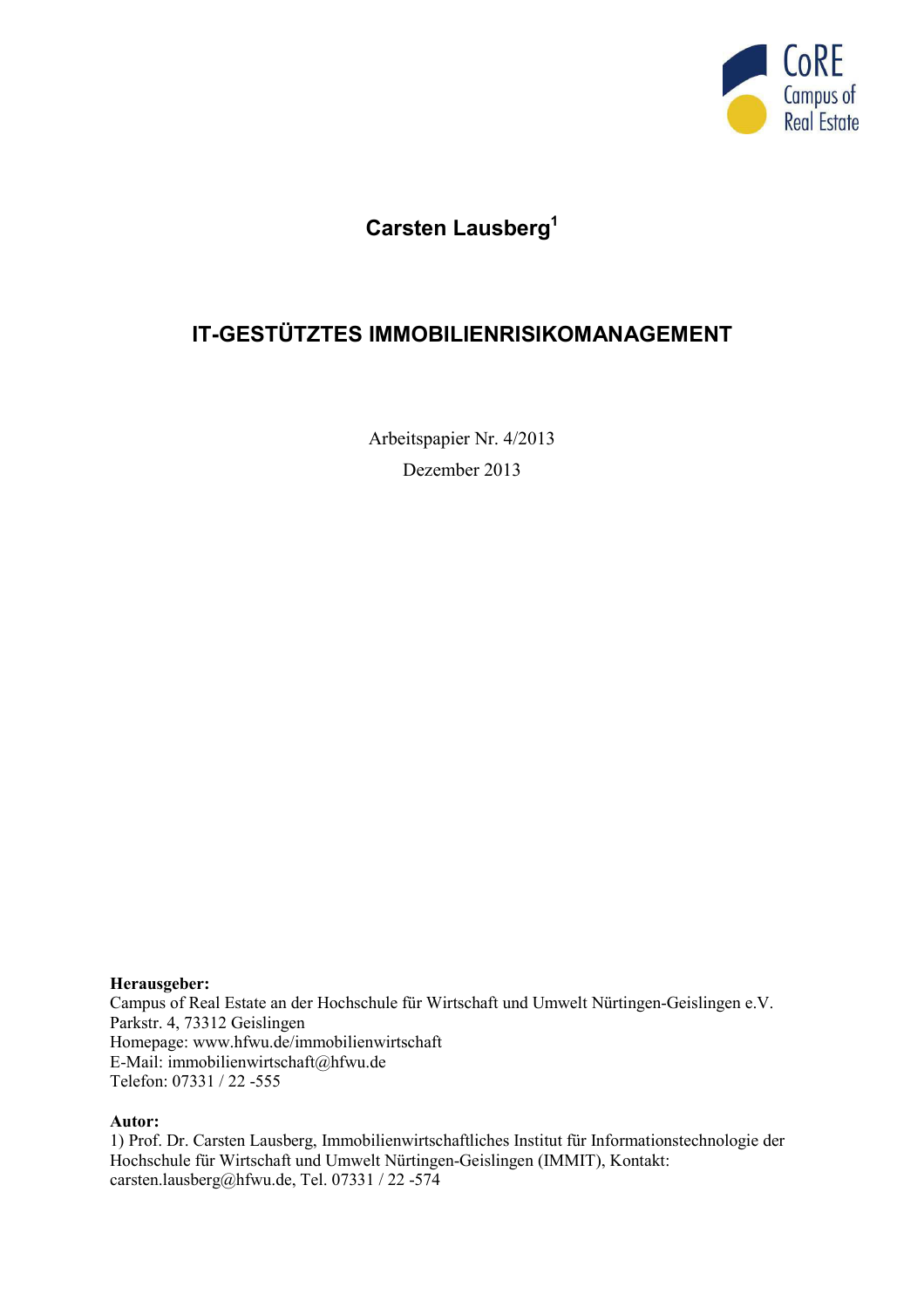

# **Carsten Lausberg<sup>1</sup>**

# **IT-GESTÜTZTES IMMOBILIENRISIKOMANAGEMENT**

Arbeitspapier Nr. 4/2013 Dezember 2013

#### **Herausgeber:**

Campus of Real Estate an der Hochschule für Wirtschaft und Umwelt Nürtingen-Geislingen e.V. Parkstr. 4, 73312 Geislingen Homepage: www.hfwu.de/immobilienwirtschaft E-Mail: immobilienwirtschaft@hfwu.de Telefon: 07331 / 22 -555

#### **Autor:**

1) Prof. Dr. Carsten Lausberg, Immobilienwirtschaftliches Institut für Informationstechnologie der Hochschule für Wirtschaft und Umwelt Nürtingen-Geislingen (IMMIT), Kontakt: carsten.lausberg@hfwu.de, Tel. 07331 / 22 -574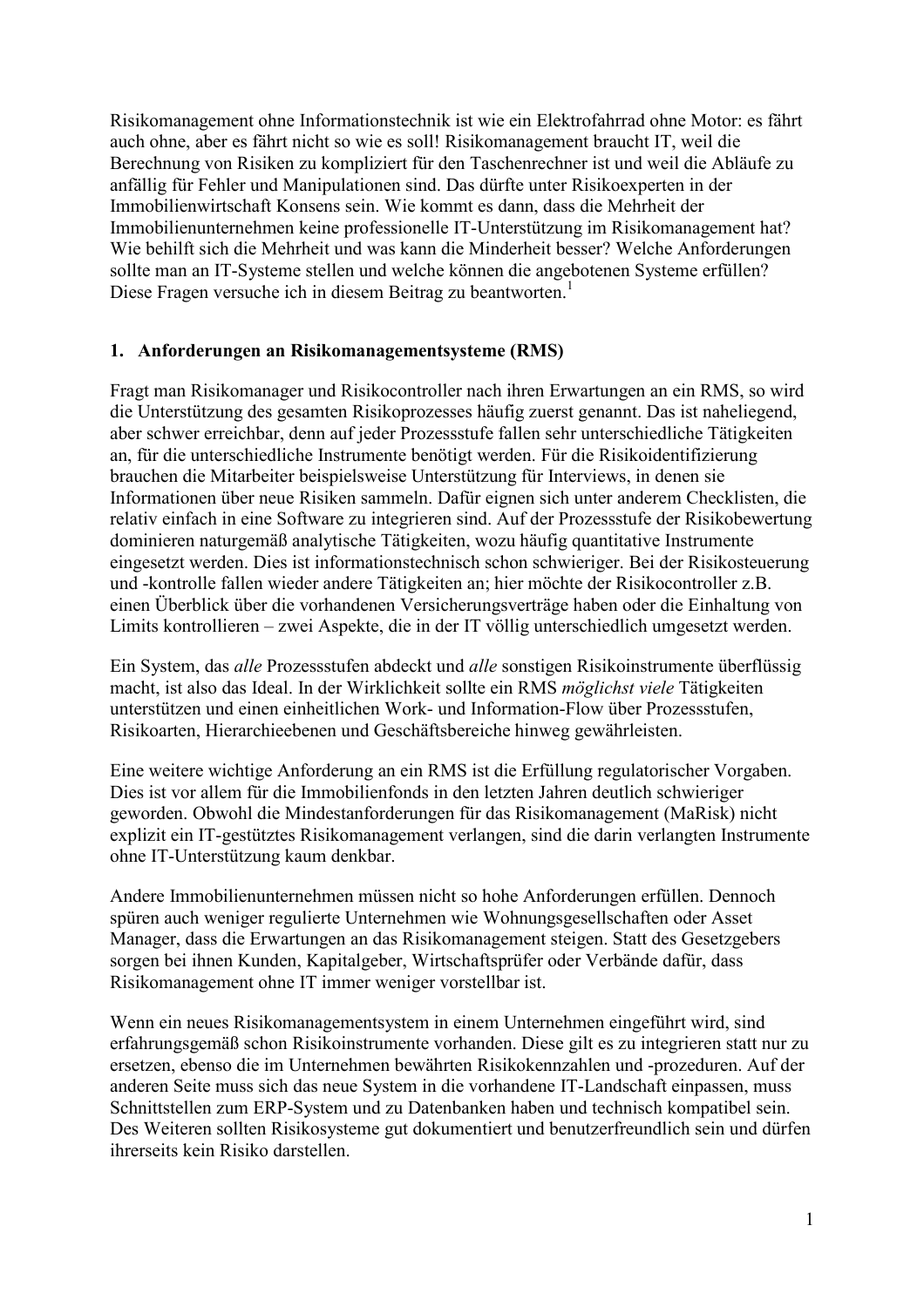Risikomanagement ohne Informationstechnik ist wie ein Elektrofahrrad ohne Motor: es fährt auch ohne, aber es fährt nicht so wie es soll! Risikomanagement braucht IT, weil die Berechnung von Risiken zu kompliziert für den Taschenrechner ist und weil die Abläufe zu anfällig für Fehler und Manipulationen sind. Das dürfte unter Risikoexperten in der Immobilienwirtschaft Konsens sein. Wie kommt es dann, dass die Mehrheit der Immobilienunternehmen keine professionelle IT-Unterstützung im Risikomanagement hat? Wie behilft sich die Mehrheit und was kann die Minderheit besser? Welche Anforderungen sollte man an IT-Systeme stellen und welche können die angebotenen Systeme erfüllen? Diese Fragen versuche ich in diesem Beitrag zu beantworten.<sup>1</sup>

### **1. Anforderungen an Risikomanagementsysteme (RMS)**

Fragt man Risikomanager und Risikocontroller nach ihren Erwartungen an ein RMS, so wird die Unterstützung des gesamten Risikoprozesses häufig zuerst genannt. Das ist naheliegend, aber schwer erreichbar, denn auf jeder Prozessstufe fallen sehr unterschiedliche Tätigkeiten an, für die unterschiedliche Instrumente benötigt werden. Für die Risikoidentifizierung brauchen die Mitarbeiter beispielsweise Unterstützung für Interviews, in denen sie Informationen über neue Risiken sammeln. Dafür eignen sich unter anderem Checklisten, die relativ einfach in eine Software zu integrieren sind. Auf der Prozessstufe der Risikobewertung dominieren naturgemäß analytische Tätigkeiten, wozu häufig quantitative Instrumente eingesetzt werden. Dies ist informationstechnisch schon schwieriger. Bei der Risikosteuerung und -kontrolle fallen wieder andere Tätigkeiten an; hier möchte der Risikocontroller z.B. einen Überblick über die vorhandenen Versicherungsverträge haben oder die Einhaltung von Limits kontrollieren – zwei Aspekte, die in der IT völlig unterschiedlich umgesetzt werden.

Ein System, das *alle* Prozessstufen abdeckt und *alle* sonstigen Risikoinstrumente überflüssig macht, ist also das Ideal. In der Wirklichkeit sollte ein RMS *möglichst viele* Tätigkeiten unterstützen und einen einheitlichen Work- und Information-Flow über Prozessstufen, Risikoarten, Hierarchieebenen und Geschäftsbereiche hinweg gewährleisten.

Eine weitere wichtige Anforderung an ein RMS ist die Erfüllung regulatorischer Vorgaben. Dies ist vor allem für die Immobilienfonds in den letzten Jahren deutlich schwieriger geworden. Obwohl die Mindestanforderungen für das Risikomanagement (MaRisk) nicht explizit ein IT-gestütztes Risikomanagement verlangen, sind die darin verlangten Instrumente ohne IT-Unterstützung kaum denkbar.

Andere Immobilienunternehmen müssen nicht so hohe Anforderungen erfüllen. Dennoch spüren auch weniger regulierte Unternehmen wie Wohnungsgesellschaften oder Asset Manager, dass die Erwartungen an das Risikomanagement steigen. Statt des Gesetzgebers sorgen bei ihnen Kunden, Kapitalgeber, Wirtschaftsprüfer oder Verbände dafür, dass Risikomanagement ohne IT immer weniger vorstellbar ist.

Wenn ein neues Risikomanagementsystem in einem Unternehmen eingeführt wird, sind erfahrungsgemäß schon Risikoinstrumente vorhanden. Diese gilt es zu integrieren statt nur zu ersetzen, ebenso die im Unternehmen bewährten Risikokennzahlen und -prozeduren. Auf der anderen Seite muss sich das neue System in die vorhandene IT-Landschaft einpassen, muss Schnittstellen zum ERP-System und zu Datenbanken haben und technisch kompatibel sein. Des Weiteren sollten Risikosysteme gut dokumentiert und benutzerfreundlich sein und dürfen ihrerseits kein Risiko darstellen.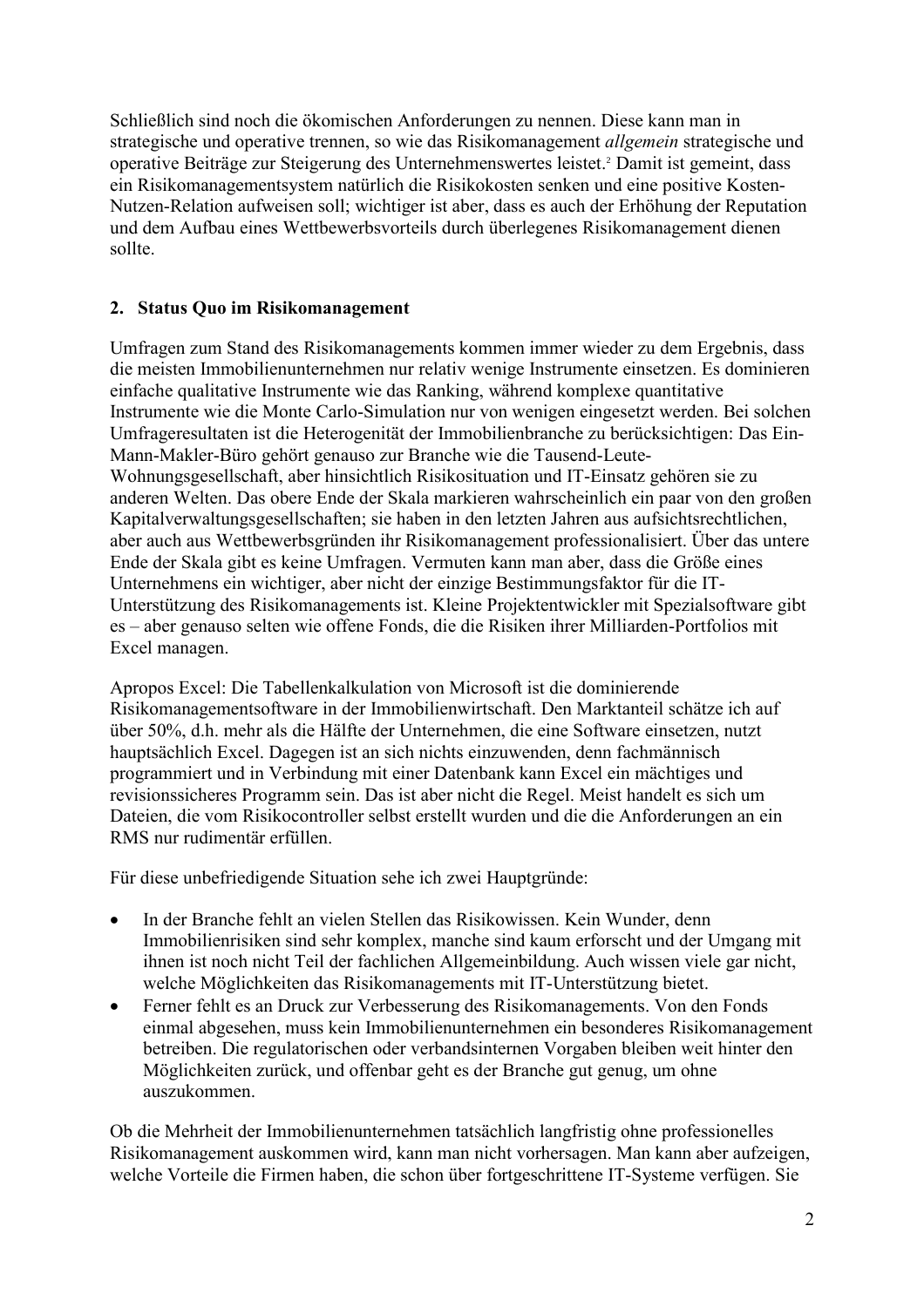Schließlich sind noch die ökomischen Anforderungen zu nennen. Diese kann man in strategische und operative trennen, so wie das Risikomanagement *allgemein* strategische und operative Beiträge zur Steigerung des Unternehmenswertes leistet.<sup>2</sup> Damit ist gemeint, dass ein Risikomanagementsystem natürlich die Risikokosten senken und eine positive Kosten-Nutzen-Relation aufweisen soll; wichtiger ist aber, dass es auch der Erhöhung der Reputation und dem Aufbau eines Wettbewerbsvorteils durch überlegenes Risikomanagement dienen sollte.

## **2. Status Quo im Risikomanagement**

Umfragen zum Stand des Risikomanagements kommen immer wieder zu dem Ergebnis, dass die meisten Immobilienunternehmen nur relativ wenige Instrumente einsetzen. Es dominieren einfache qualitative Instrumente wie das Ranking, während komplexe quantitative Instrumente wie die Monte Carlo-Simulation nur von wenigen eingesetzt werden. Bei solchen Umfrageresultaten ist die Heterogenität der Immobilienbranche zu berücksichtigen: Das Ein-Mann-Makler-Büro gehört genauso zur Branche wie die Tausend-Leute-Wohnungsgesellschaft, aber hinsichtlich Risikosituation und IT-Einsatz gehören sie zu anderen Welten. Das obere Ende der Skala markieren wahrscheinlich ein paar von den großen Kapitalverwaltungsgesellschaften; sie haben in den letzten Jahren aus aufsichtsrechtlichen, aber auch aus Wettbewerbsgründen ihr Risikomanagement professionalisiert. Über das untere Ende der Skala gibt es keine Umfragen. Vermuten kann man aber, dass die Größe eines Unternehmens ein wichtiger, aber nicht der einzige Bestimmungsfaktor für die IT-Unterstützung des Risikomanagements ist. Kleine Projektentwickler mit Spezialsoftware gibt es – aber genauso selten wie offene Fonds, die die Risiken ihrer Milliarden-Portfolios mit Excel managen.

Apropos Excel: Die Tabellenkalkulation von Microsoft ist die dominierende Risikomanagementsoftware in der Immobilienwirtschaft. Den Marktanteil schätze ich auf über 50%, d.h. mehr als die Hälfte der Unternehmen, die eine Software einsetzen, nutzt hauptsächlich Excel. Dagegen ist an sich nichts einzuwenden, denn fachmännisch programmiert und in Verbindung mit einer Datenbank kann Excel ein mächtiges und revisionssicheres Programm sein. Das ist aber nicht die Regel. Meist handelt es sich um Dateien, die vom Risikocontroller selbst erstellt wurden und die die Anforderungen an ein RMS nur rudimentär erfüllen.

Für diese unbefriedigende Situation sehe ich zwei Hauptgründe:

- In der Branche fehlt an vielen Stellen das Risikowissen. Kein Wunder, denn Immobilienrisiken sind sehr komplex, manche sind kaum erforscht und der Umgang mit ihnen ist noch nicht Teil der fachlichen Allgemeinbildung. Auch wissen viele gar nicht, welche Möglichkeiten das Risikomanagements mit IT-Unterstützung bietet.
- Ferner fehlt es an Druck zur Verbesserung des Risikomanagements. Von den Fonds einmal abgesehen, muss kein Immobilienunternehmen ein besonderes Risikomanagement betreiben. Die regulatorischen oder verbandsinternen Vorgaben bleiben weit hinter den Möglichkeiten zurück, und offenbar geht es der Branche gut genug, um ohne auszukommen.

Ob die Mehrheit der Immobilienunternehmen tatsächlich langfristig ohne professionelles Risikomanagement auskommen wird, kann man nicht vorhersagen. Man kann aber aufzeigen, welche Vorteile die Firmen haben, die schon über fortgeschrittene IT-Systeme verfügen. Sie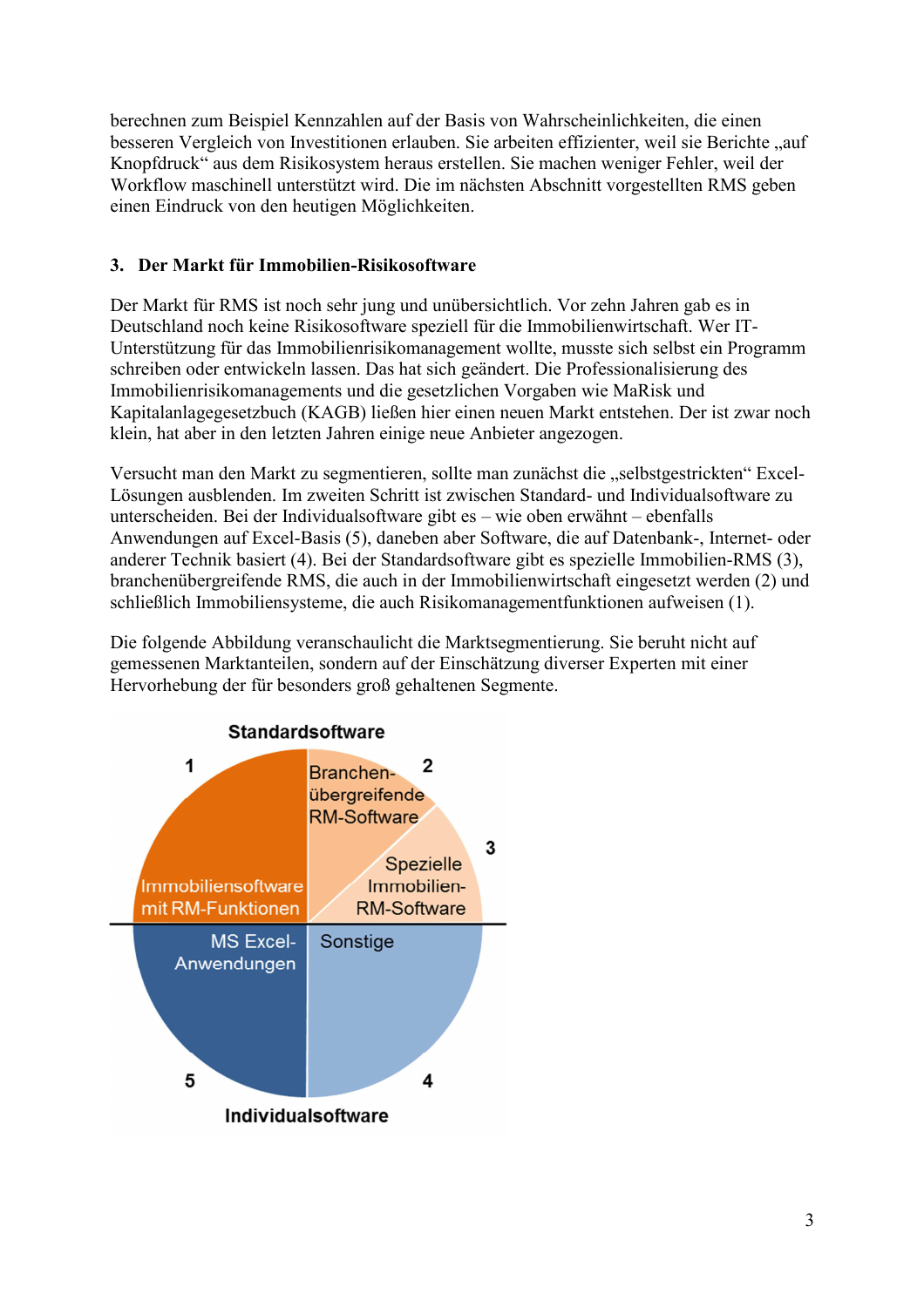berechnen zum Beispiel Kennzahlen auf der Basis von Wahrscheinlichkeiten, die einen besseren Vergleich von Investitionen erlauben. Sie arbeiten effizienter, weil sie Berichte "auf Knopfdruck" aus dem Risikosystem heraus erstellen. Sie machen weniger Fehler, weil der Workflow maschinell unterstützt wird. Die im nächsten Abschnitt vorgestellten RMS geben einen Eindruck von den heutigen Möglichkeiten.

## **3. Der Markt für Immobilien-Risikosoftware**

Der Markt für RMS ist noch sehr jung und unübersichtlich. Vor zehn Jahren gab es in Deutschland noch keine Risikosoftware speziell für die Immobilienwirtschaft. Wer IT-Unterstützung für das Immobilienrisikomanagement wollte, musste sich selbst ein Programm schreiben oder entwickeln lassen. Das hat sich geändert. Die Professionalisierung des Immobilienrisikomanagements und die gesetzlichen Vorgaben wie MaRisk und Kapitalanlagegesetzbuch (KAGB) ließen hier einen neuen Markt entstehen. Der ist zwar noch klein, hat aber in den letzten Jahren einige neue Anbieter angezogen.

Versucht man den Markt zu segmentieren, sollte man zunächst die "selbstgestrickten" Excel-Lösungen ausblenden. Im zweiten Schritt ist zwischen Standard- und Individualsoftware zu unterscheiden. Bei der Individualsoftware gibt es – wie oben erwähnt – ebenfalls Anwendungen auf Excel-Basis (5), daneben aber Software, die auf Datenbank-, Internet- oder anderer Technik basiert (4). Bei der Standardsoftware gibt es spezielle Immobilien-RMS (3), branchenübergreifende RMS, die auch in der Immobilienwirtschaft eingesetzt werden (2) und schließlich Immobiliensysteme, die auch Risikomanagementfunktionen aufweisen (1).

Die folgende Abbildung veranschaulicht die Marktsegmentierung. Sie beruht nicht auf gemessenen Marktanteilen, sondern auf der Einschätzung diverser Experten mit einer Hervorhebung der für besonders groß gehaltenen Segmente.

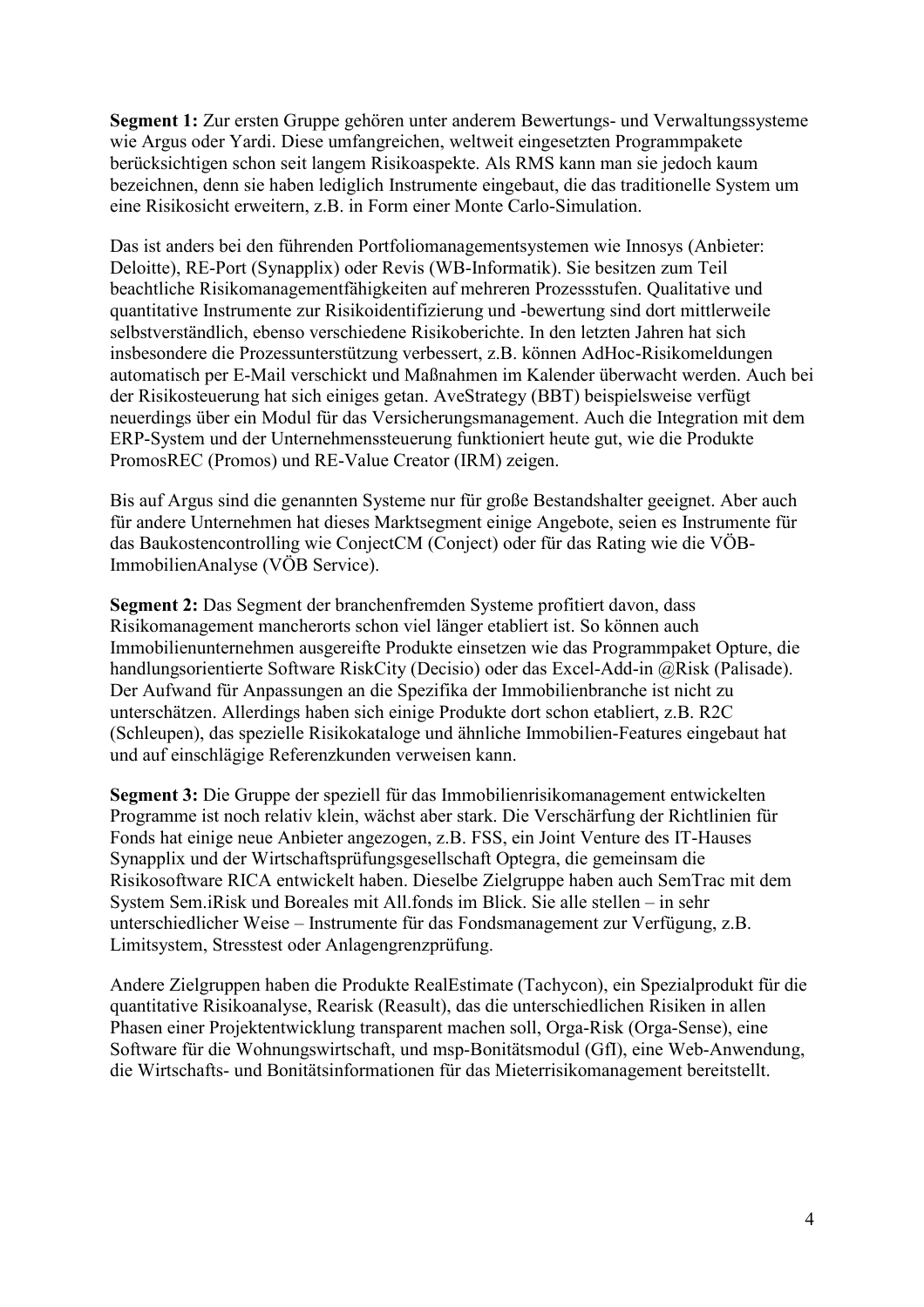**Segment 1:** Zur ersten Gruppe gehören unter anderem Bewertungs- und Verwaltungssysteme wie Argus oder Yardi. Diese umfangreichen, weltweit eingesetzten Programmpakete berücksichtigen schon seit langem Risikoaspekte. Als RMS kann man sie jedoch kaum bezeichnen, denn sie haben lediglich Instrumente eingebaut, die das traditionelle System um eine Risikosicht erweitern, z.B. in Form einer Monte Carlo-Simulation.

Das ist anders bei den führenden Portfoliomanagementsystemen wie Innosys (Anbieter: Deloitte), RE-Port (Synapplix) oder Revis (WB-Informatik). Sie besitzen zum Teil beachtliche Risikomanagementfähigkeiten auf mehreren Prozessstufen. Qualitative und quantitative Instrumente zur Risikoidentifizierung und -bewertung sind dort mittlerweile selbstverständlich, ebenso verschiedene Risikoberichte. In den letzten Jahren hat sich insbesondere die Prozessunterstützung verbessert, z.B. können AdHoc-Risikomeldungen automatisch per E-Mail verschickt und Maßnahmen im Kalender überwacht werden. Auch bei der Risikosteuerung hat sich einiges getan. AveStrategy (BBT) beispielsweise verfügt neuerdings über ein Modul für das Versicherungsmanagement. Auch die Integration mit dem ERP-System und der Unternehmenssteuerung funktioniert heute gut, wie die Produkte PromosREC (Promos) und RE-Value Creator (IRM) zeigen.

Bis auf Argus sind die genannten Systeme nur für große Bestandshalter geeignet. Aber auch für andere Unternehmen hat dieses Marktsegment einige Angebote, seien es Instrumente für das Baukostencontrolling wie ConjectCM (Conject) oder für das Rating wie die VÖB-ImmobilienAnalyse (VÖB Service).

**Segment 2:** Das Segment der branchenfremden Systeme profitiert davon, dass Risikomanagement mancherorts schon viel länger etabliert ist. So können auch Immobilienunternehmen ausgereifte Produkte einsetzen wie das Programmpaket Opture, die handlungsorientierte Software RiskCity (Decisio) oder das Excel-Add-in @Risk (Palisade). Der Aufwand für Anpassungen an die Spezifika der Immobilienbranche ist nicht zu unterschätzen. Allerdings haben sich einige Produkte dort schon etabliert, z.B. R2C (Schleupen), das spezielle Risikokataloge und ähnliche Immobilien-Features eingebaut hat und auf einschlägige Referenzkunden verweisen kann.

**Segment 3:** Die Gruppe der speziell für das Immobilienrisikomanagement entwickelten Programme ist noch relativ klein, wächst aber stark. Die Verschärfung der Richtlinien für Fonds hat einige neue Anbieter angezogen, z.B. FSS, ein Joint Venture des IT-Hauses Synapplix und der Wirtschaftsprüfungsgesellschaft Optegra, die gemeinsam die Risikosoftware RICA entwickelt haben. Dieselbe Zielgruppe haben auch SemTrac mit dem System Sem.iRisk und Boreales mit All.fonds im Blick. Sie alle stellen – in sehr unterschiedlicher Weise – Instrumente für das Fondsmanagement zur Verfügung, z.B. Limitsystem, Stresstest oder Anlagengrenzprüfung.

Andere Zielgruppen haben die Produkte RealEstimate (Tachycon), ein Spezialprodukt für die quantitative Risikoanalyse, Rearisk (Reasult), das die unterschiedlichen Risiken in allen Phasen einer Projektentwicklung transparent machen soll, Orga-Risk (Orga-Sense), eine Software für die Wohnungswirtschaft, und msp-Bonitätsmodul (GfI), eine Web-Anwendung, die Wirtschafts- und Bonitätsinformationen für das Mieterrisikomanagement bereitstellt.